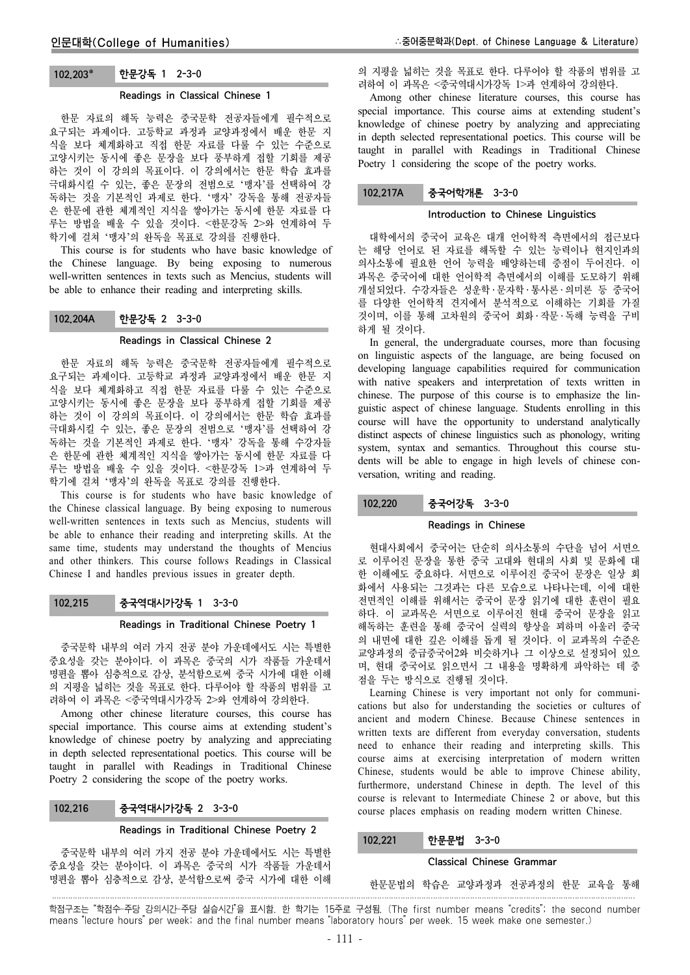# 102.203 한문강독 1 2-3-0

# Readings in Classical Chinese 1

한문 자료의 해독 능력은 중국문학 전공자들에게 필수적으로 요구되는 과제이다. 고등학교 과정과 교양과정에서 배운 한문 지 식을 보다 체계화하고 직접 한문 자료를 다룰 수 있는 수준으로 고양시키는 동시에 좋은 문장을 보다 풍부하게 접할 기회를 제공 하는 것이 이 강의의 목표이다. 이 강의에서는 한문 학습 효과를 극대화시킬 수 있는, 좋은 문장의 전범으로 '맹자'를 선택하여 강 독하는 것을 기본적인 과제로 한다. '맹자' 강독을 통해 전공자들 은 한문에 관한 체계적인 지식을 쌓아가는 동시에 한문 자료를 다 루는 방법을 배울 수 있을 것이다. <한문강독 2>와 연계하여 두 학기에 걸쳐 '맹자'의 완독을 목표로 강의를 진행한다.

This course is for students who have basic knowledge of the Chinese language. By being exposing to numerous well-written sentences in texts such as Mencius, students will be able to enhance their reading and interpreting skills.

# 102.204A 한문강독 2 3-3-0

#### Readings in Classical Chinese 2

한문 자료의 해독 능력은 중국문학 전공자들에게 필수적으로 요구되는 과제이다. 고등학교 과정과 교양과정에서 배운 한문 지 식을 보다 체계화하고 직접 한문 자료를 다룰 수 있는 수준으로 고양시키는 동시에 좋은 문장을 보다 풍부하게 접할 기회를 제공 하는 것이 이 강의의 목표이다. 이 강의에서는 한문 학습 효과를 극대화시킬 수 있는, 좋은 문장의 전범으로 '맹자'를 선택하여 강 독하는 것을 기본적인 과제로 한다. '맹자' 강독을 통해 수강자들 은 한문에 관한 체계적인 지식을 쌓아가는 동시에 한문 자료를 다 루는 방법을 배울 수 있을 것이다. <한문강독 1>과 연계하여 두 학기에 걸쳐 '맹자'의 완독을 목표로 강의를 진행한다.

This course is for students who have basic knowledge of the Chinese classical language. By being exposing to numerous well-written sentences in texts such as Mencius, students will be able to enhance their reading and interpreting skills. At the same time, students may understand the thoughts of Mencius and other thinkers. This course follows Readings in Classical Chinese I and handles previous issues in greater depth.

# 102.215 중국역대시가강독 1 3-3-0

#### Readings in Traditional Chinese Poetry 1

중국문학 내부의 여러 가지 전공 분야 가운데에서도 시는 특별한 중요성을 갖는 분야이다. 이 과목은 중국의 시가 작품들 가운데서 명편을 뽑아 심층적으로 감상, 분석함으로써 중국 시가에 대한 이해 의 지평을 넓히는 것을 목표로 한다. 다루어야 할 작품의 범위를 고 려하여 이 과목은 <중국역대시가강독 2>와 연계하여 강의한다.

Among other chinese literature courses, this course has special importance. This course aims at extending student's knowledge of chinese poetry by analyzing and appreciating in depth selected representational poetics. This course will be taught in parallel with Readings in Traditional Chinese Poetry 2 considering the scope of the poetry works.

# 102.216 중국역대시가강독 2 3-3-0

#### Readings in Traditional Chinese Poetry 2

중국문학 내부의 여러 가지 전공 분야 가운데에서도 시는 특별한 중요성을 갖는 분야이다. 이 과목은 중국의 시가 작품들 가운데서 명편을 뽑아 심층적으로 감상, 분석함으로써 중국 시가에 대한 이해

의 지평을 넓히는 것을 목표로 한다. 다루어야 할 작품의 범위를 고 려하여 이 과목은 <중국역대시가강독 1>과 연계하여 강의한다.

Among other chinese literature courses, this course has special importance. This course aims at extending student's knowledge of chinese poetry by analyzing and appreciating in depth selected representational poetics. This course will be taught in parallel with Readings in Traditional Chinese Poetry 1 considering the scope of the poetry works.

# 102.217A 중국어학개론 3-3-0

### Introduction to Chinese Linguistics

대학에서의 중국어 교육은 대개 언어학적 측면에서의 접근보다 는 해당 언어로 된 자료를 해독할 수 있는 능력이나 현지인과의 의사소통에 필요한 언어 능력을 배양하는데 중점이 두어진다. 이 과목은 중국어에 대한 언어학적 측면에서의 이해를 도모하기 위해 개설되었다. 수강자들은 성운학 ․ 문자학 ․ 통사론 ․ 의미론 등 중국어 를 다양한 언어학적 견지에서 분석적으로 이해하는 기회를 가질 것이며, 이를 통해 고차원의 중국어 회화 ․ 작문 ․ 독해 능력을 구비 하게 될 것이다.

In general, the undergraduate courses, more than focusing on linguistic aspects of the language, are being focused on developing language capabilities required for communication with native speakers and interpretation of texts written in chinese. The purpose of this course is to emphasize the linguistic aspect of chinese language. Students enrolling in this course will have the opportunity to understand analytically distinct aspects of chinese linguistics such as phonology, writing system, syntax and semantics. Throughout this course students will be able to engage in high levels of chinese conversation, writing and reading.

# 102.220 중국어강독 3-3-0

### Readings in Chinese

현대사회에서 중국어는 단순히 의사소통의 수단을 넘어 서면으 로 이루어진 문장을 통한 중국 고대와 현대의 사회 및 문화에 대 한 이해에도 중요하다. 서면으로 이루어진 중국어 문장은 일상 회 화에서 사용되는 그것과는 다른 모습으로 나타나는데, 이에 대한 전면적인 이해를 위해서는 중국어 문장 읽기에 대한 훈련이 필요 하다. 이 교과목은 서면으로 이루어진 현대 중국어 문장을 읽고 해독하는 훈련을 통해 중국어 실력의 향상을 꾀하며 아울러 중국 의 내면에 대한 깊은 이해를 돕게 될 것이다. 이 교과목의 수준은 교양과정의 중급중국어2와 비슷하거나 그 이상으로 설정되어 있으 며, 현대 중국어로 읽으면서 그 내용을 명확하게 파악하는 데 중 점을 두는 방식으로 진행될 것이다.

Learning Chinese is very important not only for communications but also for understanding the societies or cultures of ancient and modern Chinese. Because Chinese sentences in written texts are different from everyday conversation, students need to enhance their reading and interpreting skills. This course aims at exercising interpretation of modern written Chinese, students would be able to improve Chinese ability, furthermore, understand Chinese in depth. The level of this course is relevant to Intermediate Chinese 2 or above, but this course places emphasis on reading modern written Chinese.

### 102.221 한문문법 3-3-0

### Classical Chinese Grammar

한문문법의 학습은 교양과정과 전공과정의 한문 교육을 통해

학점구조는 "학점수-주당 강의시간-주당 실습시간"을 표시함. 한 학기는 15주로 구성됨. (The first number means "credits"; the second number means "lecture hours" per week; and the final number means "laboratory hours" per week. 15 week make one semester.)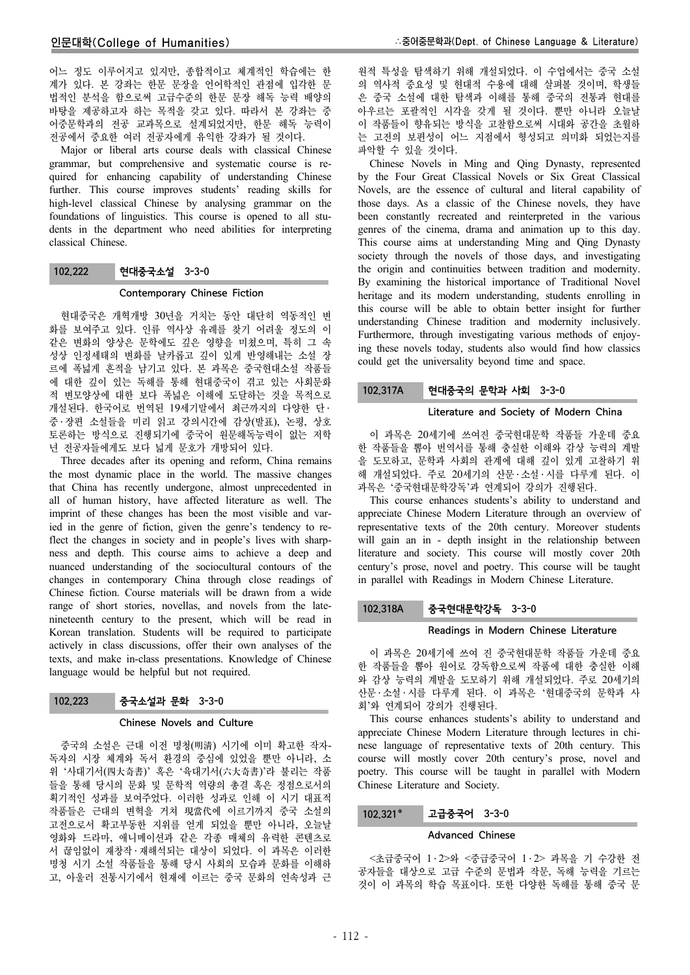어느 정도 이루어지고 있지만, 종합적이고 체계적인 학습에는 한 계가 있다. 본 강좌는 한문 문장을 언어학적인 관점에 입각한 문 법적인 분석을 함으로써 고급수준의 한문 문장 해독 능력 배양의 바탕을 제공하고자 하는 목적을 갖고 있다. 따라서 본 강좌는 중 어중문학과의 전공 교과목으로 설계되었지만, 한문 해독 능력이 전공에서 중요한 여러 전공자에게 유익한 강좌가 될 것이다.

Major or liberal arts course deals with classical Chinese grammar, but comprehensive and systematic course is required for enhancing capability of understanding Chinese further. This course improves students' reading skills for high-level classical Chinese by analysing grammar on the foundations of linguistics. This course is opened to all students in the department who need abilities for interpreting classical Chinese.

### 102.222 현대중국소설 3-3-0

#### Contemporary Chinese Fiction

현대중국은 개혁개방 30년을 거치는 동안 대단히 역동적인 변 화를 보여주고 있다. 인류 역사상 유례를 찾기 어려울 정도의 이 같은 변화의 양상은 문학에도 깊은 영향을 미쳤으며, 특히 그 속 성상 인정세태의 변화를 날카롭고 깊이 있게 반영해내는 소설 장 르에 폭넓게 흔적을 남기고 있다. 본 과목은 중국현대소설 작품들 에 대한 깊이 있는 독해를 통해 현대중국이 겪고 있는 사회문화 적 변모양상에 대한 보다 폭넓은 이해에 도달하는 것을 목적으로 개설된다. 한국어로 번역된 19세기말에서 최근까지의 다양한 단 ․ 중 ․ 장편 소설들을 미리 읽고 강의시간에 감상(발표), 논평, 상호 토론하는 방식으로 진행되기에 중국어 원문해독능력이 없는 저학 년 전공자들에게도 보다 넓게 문호가 개방되어 있다.

Three decades after its opening and reform, China remains the most dynamic place in the world. The massive changes that China has recently undergone, almost unprecedented in all of human history, have affected literature as well. The imprint of these changes has been the most visible and varied in the genre of fiction, given the genre's tendency to reflect the changes in society and in people's lives with sharpness and depth. This course aims to achieve a deep and nuanced understanding of the sociocultural contours of the changes in contemporary China through close readings of Chinese fiction. Course materials will be drawn from a wide range of short stories, novellas, and novels from the latenineteenth century to the present, which will be read in Korean translation. Students will be required to participate actively in class discussions, offer their own analyses of the texts, and make in-class presentations. Knowledge of Chinese language would be helpful but not required.

# 102.223 중국소설과 문화 3-3-0

### Chinese Novels and Culture

중국의 소설은 근대 이전 명청(明淸) 시기에 이미 확고한 작자-독자의 시장 체계와 독서 환경의 중심에 있었을 뿐만 아니라, 소 위 '사대기서(四大奇書)' 혹은 '육대기서(六大奇書)'라 불리는 작품 들을 통해 당시의 문화 및 문학적 역량의 총결 혹은 정점으로서의 획기적인 성과를 보여주었다. 이러한 성과로 인해 이 시기 대표적 작품들은 근대의 변혁을 거쳐 現當代에 이르기까지 중국 소설의 고전으로서 확고부동한 지위를 얻게 되었을 뿐만 아니라, 오늘날 영화와 드라마, 애니메이션과 같은 각종 매체의 유력한 콘텐츠로 서 끊임없이 재창작 ․ 재해석되는 대상이 되었다. 이 과목은 이러한 명청 시기 소설 작품들을 통해 당시 사회의 모습과 문화를 이해하 고, 아울러 전통시기에서 현재에 이르는 중국 문화의 연속성과 근

원적 특성을 탐색하기 위해 개설되었다. 이 수업에서는 중국 소설 의 역사적 중요성 및 현대적 수용에 대해 살펴볼 것이며, 학생들 은 중국 소설에 대한 탐색과 이해를 통해 중국의 전통과 현대를 아우르는 포괄적인 시각을 갖게 될 것이다. 뿐만 아니라 오늘날 이 작품들이 향유되는 방식을 고찰함으로써 시대와 공간을 초월하 는 고전의 보편성이 어느 지점에서 형성되고 의미화 되었는지를 파악할 수 있을 것이다.

Chinese Novels in Ming and Qing Dynasty, represented by the Four Great Classical Novels or Six Great Classical Novels, are the essence of cultural and literal capability of those days. As a classic of the Chinese novels, they have been constantly recreated and reinterpreted in the various genres of the cinema, drama and animation up to this day. This course aims at understanding Ming and Qing Dynasty society through the novels of those days, and investigating the origin and continuities between tradition and modernity. By examining the historical importance of Traditional Novel heritage and its modern understanding, students enrolling in this course will be able to obtain better insight for further understanding Chinese tradition and modernity inclusively. Furthermore, through investigating various methods of enjoying these novels today, students also would find how classics could get the universality beyond time and space.

### 102.317A 현대중국의 문학과 사회 3-3-0

### Literature and Society of Modern China

이 과목은 20세기에 쓰여진 중국현대문학 작품들 가운데 중요 한 작품들을 뽑아 번역서를 통해 충실한 이해와 감상 능력의 계발 을 도모하고, 문학과 사회의 관계에 대해 깊이 있게 고찰하기 위 해 개설되었다. 주로 20세기의 산문 ․ 소설 ․ 시를 다루게 된다. 이 과목은 '중국현대문학강독'과 연계되어 강의가 진행된다.

This course enhances students's ability to understand and appreciate Chinese Modern Literature through an overview of representative texts of the 20th century. Moreover students will gain an in - depth insight in the relationship between literature and society. This course will mostly cover 20th century's prose, novel and poetry. This course will be taught in parallel with Readings in Modern Chinese Literature.

### 102.318A 중국현대문학강독 3-3-0

#### Readings in Modern Chinese Literature

이 과목은 20세기에 쓰여 진 중국현대문학 작품들 가운데 중요 한 작품들을 뽑아 원어로 강독함으로써 작품에 대한 충실한 이해 와 감상 능력의 계발을 도모하기 위해 개설되었다. 주로 20세기의 산문 ․ 소설 ․ 시를 다루게 된다. 이 과목은 '현대중국의 문학과 사 회'와 연계되어 강의가 진행된다.

This course enhances students's ability to understand and appreciate Chinese Modern Literature through lectures in chinese language of representative texts of 20th century. This course will mostly cover 20th century's prose, novel and poetry. This course will be taught in parallel with Modern Chinese Literature and Society.

### 102.321\* 고급중국어 3-3-0

#### Advanced Chinese

<초급중국어 1 ․ 2>와 <중급중국어 1 ․ 2> 과목을 기 수강한 전 공자들을 대상으로 고급 수준의 문법과 작문, 독해 능력을 기르는 것이 이 과목의 학습 목표이다. 또한 다양한 독해를 통해 중국 문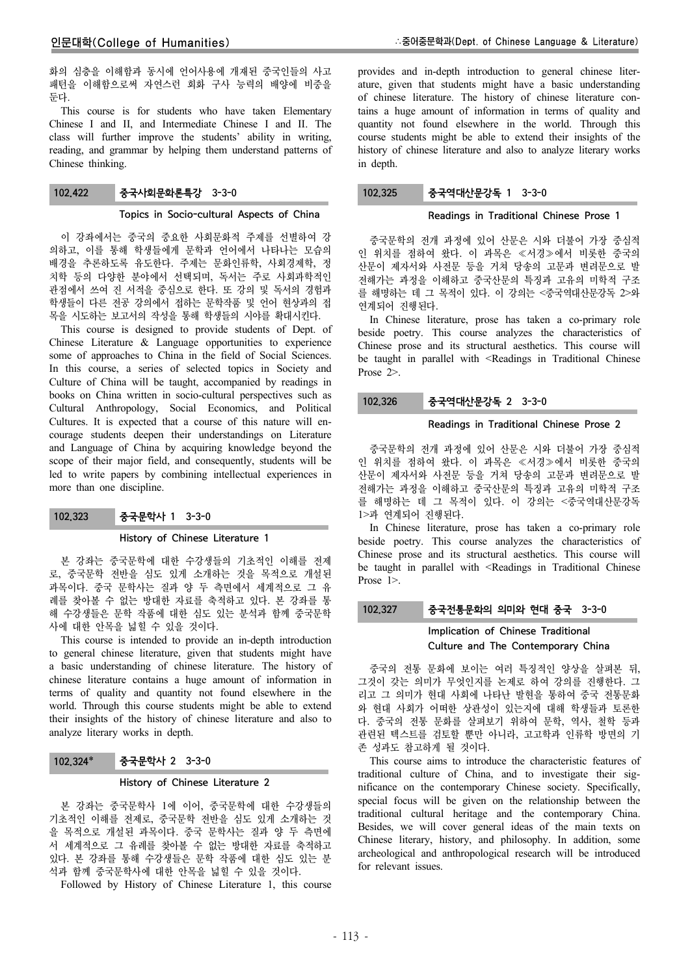화의 심층을 이해함과 동시에 언어사용에 개재된 중국인들의 사고 패턴을 이해함으로써 자연스런 회화 구사 능력의 배양에 비중을 둔다.

This course is for students who have taken Elementary Chinese I and II, and Intermediate Chinese I and II. The class will further improve the students' ability in writing, reading, and grammar by helping them understand patterns of Chinese thinking.

# 102.422 중국사회문화론특강 3-3-0

#### Topics in Socio-cultural Aspects of China

이 강좌에서는 중국의 중요한 사회문화적 주제를 선별하여 강 의하고, 이를 통해 학생들에게 문학과 언어에서 나타나는 모습의 배경을 추론하도록 유도한다. 주제는 문화인류학, 사회경제학, 정 치학 등의 다양한 분야에서 선택되며, 독서는 주로 사회과학적인 관점에서 쓰여 진 서적을 중심으로 한다. 또 강의 및 독서의 경험과 학생들이 다른 전공 강의에서 접하는 문학작품 및 언어 현상과의 접 목을 시도하는 보고서의 작성을 통해 학생들의 시야를 확대시킨다.

This course is designed to provide students of Dept. of Chinese Literature & Language opportunities to experience some of approaches to China in the field of Social Sciences. In this course, a series of selected topics in Society and Culture of China will be taught, accompanied by readings in books on China written in socio-cultural perspectives such as Cultural Anthropology, Social Economics, and Political Cultures. It is expected that a course of this nature will encourage students deepen their understandings on Literature and Language of China by acquiring knowledge beyond the scope of their major field, and consequently, students will be led to write papers by combining intellectual experiences in more than one discipline.

# 102.323 중국문학사 1 3-3-0

#### History of Chinese Literature 1

본 강좌는 중국문학에 대한 수강생들의 기초적인 이해를 전제 로, 중국문학 전반을 심도 있게 소개하는 것을 목적으로 개설된 과목이다. 중국 문학사는 질과 양 두 측면에서 세계적으로 그 유 례를 찾아볼 수 없는 방대한 자료를 축적하고 있다. 본 강좌를 통 해 수강생들은 문학 작품에 대한 심도 있는 분석과 함께 중국문학 사에 대한 안목을 넓힐 수 있을 것이다.

This course is intended to provide an in-depth introduction to general chinese literature, given that students might have a basic understanding of chinese literature. The history of chinese literature contains a huge amount of information in terms of quality and quantity not found elsewhere in the world. Through this course students might be able to extend their insights of the history of chinese literature and also to analyze literary works in depth.

### 102.324 중국문학사 2 3-3-0

#### History of Chinese Literature 2

본 강좌는 중국문학사 1에 이어, 중국문학에 대한 수강생들의 기초적인 이해를 전제로, 중국문학 전반을 심도 있게 소개하는 것 을 목적으로 개설된 과목이다. 중국 문학사는 질과 양 두 측면에 서 세계적으로 그 유례를 찾아볼 수 없는 방대한 자료를 축적하고 있다. 본 강좌를 통해 수강생들은 문학 작품에 대한 심도 있는 분 석과 함께 중국문학사에 대한 안목을 넓힐 수 있을 것이다.

Followed by History of Chinese Literature 1, this course

provides and in-depth introduction to general chinese literature, given that students might have a basic understanding of chinese literature. The history of chinese literature contains a huge amount of information in terms of quality and quantity not found elsewhere in the world. Through this course students might be able to extend their insights of the history of chinese literature and also to analyze literary works in depth.

### 102.325 중국역대산문강독 1 3-3-0

#### Readings in Traditional Chinese Prose 1

중국문학의 전개 과정에 있어 산문은 시와 더불어 가장 중심적 인 위치를 점하여 왔다. 이 과목은 ≪서경≫에서 비롯한 중국의 산문이 제자서와 사전문 등을 거쳐 당송의 고문과 변려문으로 발 전해가는 과정을 이해하고 중국산문의 특징과 고유의 미학적 구조 를 해명하는 데 그 목적이 있다. 이 강의는 <중국역대산문강독 2>와 연계되어 진행된다.

In Chinese literature, prose has taken a co-primary role beside poetry. This course analyzes the characteristics of Chinese prose and its structural aesthetics. This course will be taught in parallel with <Readings in Traditional Chinese Prose 2>.

### 102.326 중국역대산문강독 2 3-3-0

#### Readings in Traditional Chinese Prose 2

중국문학의 전개 과정에 있어 산문은 시와 더불어 가장 중심적 인 위치를 점하여 왔다. 이 과목은 ≪서경≫에서 비롯한 중국의 산문이 제자서와 사전문 등을 거쳐 당송의 고문과 변려문으로 발 전해가는 과정을 이해하고 중국산문의 특징과 고유의 미학적 구조 를 해명하는 데 그 목적이 있다. 이 강의는 <중국역대산문강독 1>과 연계되어 진행된다.

In Chinese literature, prose has taken a co-primary role beside poetry. This course analyzes the characteristics of Chinese prose and its structural aesthetics. This course will be taught in parallel with <Readings in Traditional Chinese Prose 1>.

### 102.327 중국전통문화의 의미와 현대 중국 3-3-0

### Implication of Chinese Traditional Culture and The Contemporary China

중국의 전통 문화에 보이는 여러 특징적인 양상을 살펴본 뒤, 그것이 갖는 의미가 무엇인지를 논제로 하여 강의를 진행한다. 그 리고 그 의미가 현대 사회에 나타난 발현을 통하여 중국 전통문화 와 현대 사회가 어떠한 상관성이 있는지에 대해 학생들과 토론한 다. 중국의 전통 문화를 살펴보기 위하여 문학, 역사, 철학 등과 관련된 텍스트를 검토할 뿐만 아니라, 고고학과 인류학 방면의 기 존 성과도 참고하게 될 것이다.

This course aims to introduce the characteristic features of traditional culture of China, and to investigate their significance on the contemporary Chinese society. Specifically, special focus will be given on the relationship between the traditional cultural heritage and the contemporary China. Besides, we will cover general ideas of the main texts on Chinese literary, history, and philosophy. In addition, some archeological and anthropological research will be introduced for relevant issues.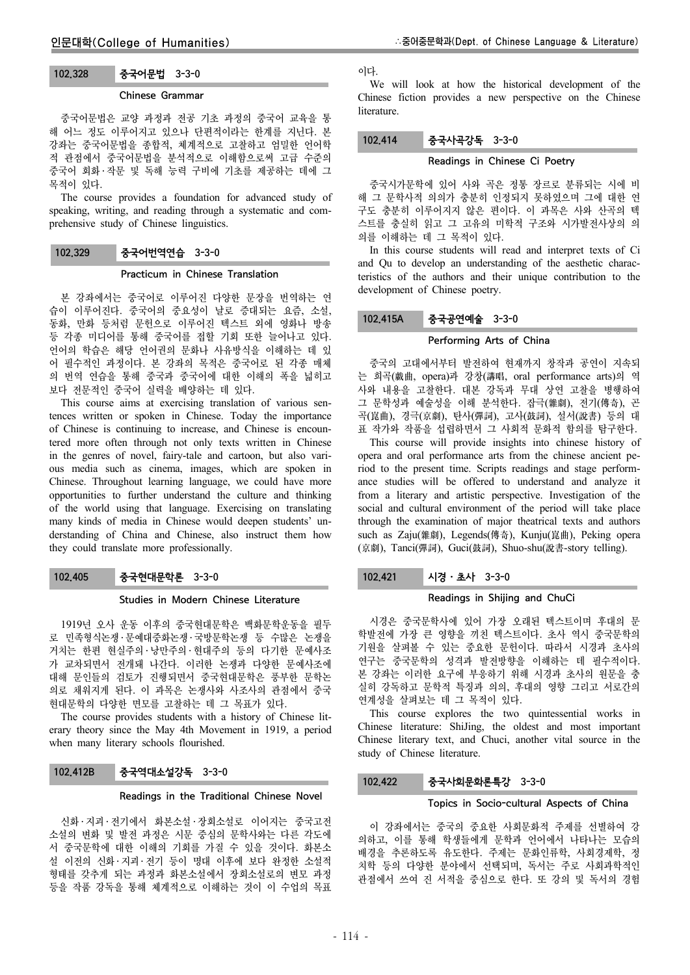# 102.328 중국어문법 3-3-0

#### Chinese Grammar

중국어문법은 교양 과정과 전공 기초 과정의 중국어 교육을 통 해 어느 정도 이루어지고 있으나 단편적이라는 한계를 지닌다. 본 강좌는 중국어문법을 종합적, 체계적으로 고찰하고 엄밀한 언어학 적 관점에서 중국어문법을 분석적으로 이해함으로써 고급 수준의 중국어 회화 ․ 작문 및 독해 능력 구비에 기초를 제공하는 데에 그 목적이 있다.

The course provides a foundation for advanced study of speaking, writing, and reading through a systematic and comprehensive study of Chinese linguistics.

# 102.329 중국어번역연습 3-3-0

# Practicum in Chinese Translation

본 강좌에서는 중국어로 이루어진 다양한 문장을 번역하는 연 습이 이루어진다. 중국어의 중요성이 날로 증대되는 요즘, 소설, 동화, 만화 등처럼 문헌으로 이루어진 텍스트 외에 영화나 방송 등 각종 미디어를 통해 중국어를 접할 기회 또한 늘어나고 있다. 언어의 학습은 해당 언어권의 문화나 사유방식을 이해하는 데 있 어 필수적인 과정이다. 본 강좌의 목적은 중국어로 된 각종 매체 의 번역 연습을 통해 중국과 중국어에 대한 이해의 폭을 넓히고 보다 전문적인 중국어 실력을 배양하는 데 있다.

This course aims at exercising translation of various sentences written or spoken in Chinese. Today the importance of Chinese is continuing to increase, and Chinese is encountered more often through not only texts written in Chinese in the genres of novel, fairy-tale and cartoon, but also various media such as cinema, images, which are spoken in Chinese. Throughout learning language, we could have more opportunities to further understand the culture and thinking of the world using that language. Exercising on translating many kinds of media in Chinese would deepen students' understanding of China and Chinese, also instruct them how they could translate more professionally.

# 102.405 중국현대문학론 3-3-0

### Studies in Modern Chinese Literature

1919년 오사 운동 이후의 중국현대문학은 백화문학운동을 필두 로 민족형식논쟁 ․ 문예대중화논쟁 ․ 국방문학논쟁 등 수많은 논쟁을 거치는 한편 현실주의 ․ 낭만주의 ․ 현대주의 등의 다기한 문예사조 가 교차되면서 전개돼 나간다. 이러한 논쟁과 다양한 문예사조에 대해 문인들의 검토가 진행되면서 중국현대문학은 풍부한 문학논 의로 채워지게 된다. 이 과목은 논쟁사와 사조사의 관점에서 중국 현대문학의 다양한 면모를 고찰하는 데 그 목표가 있다.

The course provides students with a history of Chinese literary theory since the May 4th Movement in 1919, a period when many literary schools flourished.

# 102.412B 중국역대소설강독 3-3-0

#### Readings in the Traditional Chinese Novel

신화 ․ 지괴 ․ 전기에서 화본소설 ․ 장회소설로 이어지는 중국고전 소설의 변화 및 발전 과정은 시문 중심의 문학사와는 다른 각도에 서 중국문학에 대한 이해의 기회를 가질 수 있을 것이다. 화본소 설 이전의 신화 ․ 지괴 ․ 전기 등이 명대 이후에 보다 완정한 소설적 형태를 갖추게 되는 과정과 화본소설에서 장회소설로의 변모 과정 등을 작품 강독을 통해 체계적으로 이해하는 것이 이 수업의 목표 이다.

We will look at how the historical development of the Chinese fiction provides a new perspective on the Chinese literature.

# 102.414 중국사곡강독 3-3-0

### Readings in Chinese Ci Poetry

중국시가문학에 있어 사와 곡은 정통 장르로 분류되는 시에 비 해 그 문학사적 의의가 충분히 인정되지 못하였으며 그에 대한 연 구도 충분히 이루어지지 않은 편이다. 이 과목은 사와 산곡의 텍 스트를 충실히 읽고 그 고유의 미학적 구조와 시가발전사상의 의 의를 이해하는 데 그 목적이 있다.

In this course students will read and interpret texts of Ci and Qu to develop an understanding of the aesthetic characteristics of the authors and their unique contribution to the development of Chinese poetry.

# 102.415A 중국공연예술 3-3-0

### Performing Arts of China

중국의 고대에서부터 발전하여 현재까지 창작과 공연이 지속되 는 희곡(戱曲, opera)과 강창(講唱, oral performance arts)의 역 사와 내용을 고찰한다. 대본 강독과 무대 상연 고찰을 병행하여 그 문학성과 예술성을 이해 분석한다. 잡극(雜劇), 전기(傳奇), 곤 곡(崑曲), 경극(京劇), 탄사(彈詞), 고사(鼓詞), 설서(說書) 등의 대 표 작가와 작품을 섭렵하면서 그 사회적 문화적 함의를 탐구한다.

This course will provide insights into chinese history of opera and oral performance arts from the chinese ancient period to the present time. Scripts readings and stage performance studies will be offered to understand and analyze it from a literary and artistic perspective. Investigation of the social and cultural environment of the period will take place through the examination of major theatrical texts and authors such as Zaju(雜劇), Legends(傳奇), Kunju(崑曲), Peking opera (京劇), Tanci(彈詞), Guci(鼓詞), Shuo-shu(說書-story telling).

### 102.421 시경 · 초사 3-3-0

### Readings in Shijing and ChuCi

시경은 중국문학사에 있어 가장 오래된 텍스트이며 후대의 문 학발전에 가장 큰 영향을 끼친 텍스트이다. 초사 역시 중국문학의 기원을 살펴볼 수 있는 중요한 문헌이다. 따라서 시경과 초사의 연구는 중국문학의 성격과 발전방향을 이해하는 데 필수적이다. 본 강좌는 이러한 요구에 부응하기 위해 시경과 초사의 원문을 충 실히 강독하고 문학적 특징과 의의, 후대의 영향 그리고 서로간의 연계성을 살펴보는 데 그 목적이 있다.

This course explores the two quintessential works in Chinese literature: ShiJing, the oldest and most important Chinese literary text, and Chuci, another vital source in the study of Chinese literature.

### 102.422 중국사회문화론특강 3-3-0

### Topics in Socio-cultural Aspects of China

이 강좌에서는 중국의 중요한 사회문화적 주제를 선별하여 강 의하고, 이를 통해 학생들에게 문학과 언어에서 나타나는 모습의 배경을 추론하도록 유도한다. 주제는 문화인류학, 사회경제학, 정 치학 등의 다양한 분야에서 선택되며, 독서는 주로 사회과학적인 관점에서 쓰여 진 서적을 중심으로 한다. 또 강의 및 독서의 경험